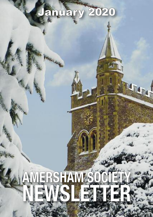# January 2020

2444

# **AMERSHAM SOCIETY** NEWS LEAR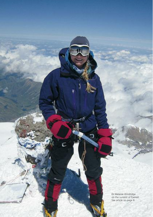Dr Melanie Windridge on the summit of Everest. See article on page 8.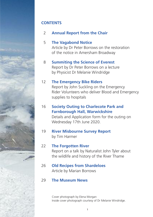#### **CONTENTS**

02 **Annual Report from the Chair**

### 05 **The Vagabond Notice** Article by Dr Peter Borrows on the restoration

of the notice in Amersham Broadway

#### 08 **Summiting the Science of Everest**

 Report by Dr Peter Borrows on a lecture by Physicist Dr Melanie Windridge

#### 12 **The Emergency Bike Riders**

 Report by John Suckling on the Emergency Rider Volunteers who deliver Blood and Emergency supplies to hospitals

### 16 **Society Outing to Charlecote Park and Farnborough Hall, Warwickshire**

 Details and Application form for the outing on Wednesday 17th June 2020.

#### 19 **River Misbourne Survey Report** by Tim Harmer

#### 22 **The Forgotten River**

 Report on a talk by Naturalist John Tyler about the wildlife and history of the River Thame

#### 26 **Old Recipes from Shardeloes** Article by Marian Borrows

#### 29 **The Museum News**

Cover photograph by Elena Morgan Inside cover photograph courtesy of Dr Melanie Windridge.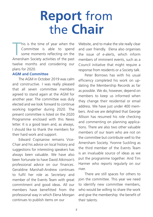# **Report** from the **Chair**

his is the time of year when the<br>
Committee is able to spend<br>
some moments reflecting on the<br>
Amersham Society activities of the past his is the time of year when the Committee is able to spend some moments reflecting on the twelve months and considering our plans for 2020.

#### **AGM and Committee**

 The AGM in October 2019 was calm and constructive. I was really pleased that all seven committee members agreed to stand again at the AGM for another year. The committee was duly elected and we look forward to continue working together during 2020. The present committee is listed on the 2020 Programme enclosed with this News letter. It is a good team and, as always, I should like to thank the members for their hard work and support.

 Edward Copisarow remains Vice-Chair and his advice on local history and suggestions for interesting speakers has always been valuable. We have also been fortunate to have David Atkinson's professional advice on our finances. Geraldine Marshall-Andrew continues to fulfil her role as Secretary and member of the Events Team with great commitment and good ideas. All our members have benefitted from the professional way in which Elena Morgan continues to publish items on our

Website, and to make the site really clear and user friendly. Elena also organises the issue of e-alerts, which inform members of imminent events, such as a Council initiative that might require a response from residents or a Society talk.

 Peter Borrows has with his usual efficiency completed his work on updating the Membership Records as far as possible. We do, however, depend on members to keep us informed when they change their residential or email address. We have just under 400 members. And we are delighted that George Allison has resumed his role checking and commenting on planning applications. There are also two other valuable members of our team who are not on the committee but contribute well to the Amersham Society. Yvonne Suckling as the third member of the Events Team is an invaluable source of ideas as we put the programme together. And Tim Harmer who reports regularly on our river.

 There are still spaces for others to join the committee. This year we need to identify new committee members, who would be willing to share the work and give the membership the benefit of their talents.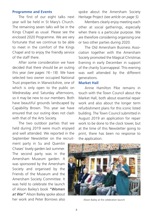#### **Programme and Events**

 The first of our eight talks next year will be held in St Mary's Church. The remaining seven talks will be in the Kings Chapel as usual. Please see the enclosed 2020 Programme. We are very fortunate that we continue to be able to meet in the comfort of the Kings Chapel and to enjoy the friendly service of the staff there.

 After some consideration we have decided that there should be an outing this year *(see pages 16 –18)*. We have selected two owner occupied National Trust properties in Warwickshire, one of which is only open to the public on Wednesday and Saturday afternoons, so it may be new to our members. Both have beautiful grounds landscaped by Capability Brown. This year we have ensured that our outing does not clash with that of the Arts Society.

 The two outdoor parties that we held during 2019 were much enjoyed and well attended. We reported in the September Newsletter on the recruit-

ment party in Su and Quentin Chases' lovely garden last summer. The second party was in the Amersham Museum garden. It was sponsored by the Amersham Society and organised by the Friends of the Museum and the Amersham Society Committee. It was held to celebrate the launch of Alison Bailey's book *"Women at War"* Alison Bailey spoke about her work and Peter Borrows also Alison Bailey at the celebration launch

spoke about the Amersham Society Heritage Project *(see article on page 5).*

 Members clearly enjoy meeting each other at social gatherings, especially when there is a particular purpose. We are therefore considering organising one or two other parties during 2020.

 The Old Amersham Business Association together with the Amersham Society promoted the Magical Christmas Evening in early December in support of the charity Scannappeal. This evening was well attended by the different generations.

#### **Market Hall**

 Annie Hamilton Pike remains in touch with the Town Council about the Market Hall, both about essential repair work and also about the longer term refurbishment plans for this iconic listed building. The Town Council submitted in August 2019 an application for repair work to be done to the clock tower, but at the time of this Newsletter going to print, there has been no response to the application.

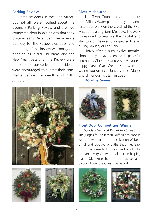#### **Parking Review**

 Some residents in the High Street, but not all, were notified about the Council's Parking Review and the two connected drop in exhibitions that took place in early December. The advance publicity for the Review was poor and the timing of this Review was not good, bridging as it did Christmas and the New Year. Details of the Review were published on our website and residents were encouraged to submit their comments before the deadline of 14th January.

#### **River Misbourne**

 The Town Council has informed us that Affinity Water plan to carry out some restoration work on the stretch of the River Misbourne along Barn Meadow. The work is designed to improve the habitat and structure of the river. It is expected to start during January or February.

 Finally after a busy twelve months, I hope that you have all enjoyed a peaceful and happy Christmas and wish everyone a happy New Year. We look forward to seeing you on 29th January in St Mary's Church for our first talk in 2020.



#### **Dorothy Symes**



**Front Door Competition Winner** *Sundari Ferris of Whielden Street* The judges found it really difficult to choose just one winner from the selection of beautiful and creative wreaths that they saw on so many residents' doors and would like to thank everyone who took part in helping make Old Amersham more festive and colourful over the Christmas period.







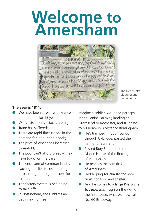# **Welcome to Amersham**



The Notice after cleaning and conservation.

#### **The year is 1811.**

- We have been at war with France on and off – for 18 years;
- $\bullet$  War costs money taxes are high;
- $\bullet$  Trade has suffered:
- $\bullet$  There are rapid fluctuations in the demand for labour and goods;
- $\bullet$  The price of wheat has increased three-fold;
- $\bullet$  The poor can't afford bread they have to go 'on the parish';
- The enclosure of common land is causing families to lose their rights of pasturage for pig and cow, for fuel and food;
- $\bullet$  The factory system is beginning to take off;
- In Nottingham, the Luddites are beginning to meet.

Imagine a soldier, wounded perhaps in the Peninsular War, landing at Gravesend or Rochester, and trudging to his home in Bicester or Birmingham.

- He's tramped through London, through Uxbridge, passed the hamlet of Bury End;
- **e** Passed Bury Farm, once the Manor House of the Borough of Amersham;
- $\bullet$  He reaches the outskirts of Amersham;
- $\bullet$  He's hoping for charity, for poor relief, for food and shelter;
- l And he comes to a large *Welcome to Amersham* sign on the wall of the first house, what we now call No. 60 Broadway.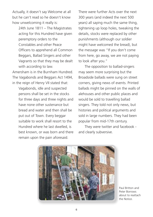Actually, it doesn't say Welcome at all but he can't read so he doesn't know how unwelcoming it really is:

> 24th June 1811 – The Magistrates acting for this Hundred have given peremptory orders to the Constables and other Peace Officers to apprehend all Common Beggars, Ballad Singers and other Vagrants so that they may be dealt with according to law.

Amersham is in the Burnham Hundred. The Vagabonds and Beggars Act 1494, in the reign of Henry VII stated that:

 Vagabonds, idle and suspected persons shall be set in the stocks for three days and three nights and have none other sustenance but bread and water and then shall be put out of Town. Every beggar suitable to work shall resort to the Hundred where he last dwelled, is best known, or was born and there remain upon the pain aforesaid.

There were further Acts over the next 300 years (and indeed the next 500 years) all saying much the same thing, tightening up loop holes, tweaking the details, stocks were replaced by other punishments (although our soldier might have welcomed the bread), but the message was "If you don't come from here, go away, we are not paying to look after you."

 The opposition to ballad-singers may seem more surprising but the Broadside ballads were sung on street corners, giving news of events. Printed ballads might be pinned on the walls of alehouses and other public places and would be sold to travelling ballad singers. They told not only news, but histories and political arguments and sold in large numbers. They had been popular from mid-17th century.

 They were twitter and facebook and clearly subversive.



Paul Britton and Peter Borrows about to reattach the Notice.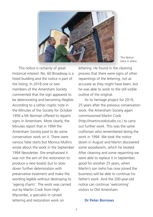

The Notice back in place.

 This notice is certainly of great historical interest. No. 60 Broadway is a listed building and the notice is part of the listing. In 2018 one or two members of the Amersham Society commented that the sign appeared to be deteriorating and becoming illegible. According to a rather cryptic note in the Minutes of the Society for October 1956 a Mr Norman offered to repaint signs in Amersham. More clearly, the Minutes report that in 1994 the Amersham Society paid to do some conservation work on it. There were various false starts but Monica Mullins wrote about the work in the September 1994 Newsletter. She emphasised it was not the aim of the restoration to produce a new board, but to slow down further deterioration with preservative treatment and make the wording legible without destroying its 'ageing charm'. The work was carried out by Martin Cook from High Wycombe, a specialist in carved lettering and restoration work on

lettering. He found in the cleaning process that there were signs of other repaintings of the lettering, not as accurate as they might have been, but he was able to work to the still visible outline of the original.

 As its heritage project for 2019, 25 years after the previous conservation work, the Amersham Society again commissioned Martin Cook (http://martincookstudio.co.) to carry out further work. This was the same craftsman who remembered doing the work in 1994. We took the notice down in August and Martin discovered some woodworm, which he treated. After cleaning and some repainting we were able to replace it in September, good for another 25 years, when Martin's son (who has now joined the business) will be able to continue his father's work. And the 200-year-old notice can continue 'welcoming' visitors to Old Amersham.

#### **Dr Peter Borrows**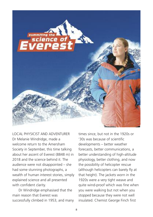

LOCAL PHYSICIST AND ADVENTURER Dr Melanie Windridge, made a welcome return to the Amersham Society in September, this time talking about her ascent of Everest (8848 m) in 2018 and the science behind it. The audience were not disappointed – she had some stunning photographs, a wealth of human interest stories, simply explained science and all presented with confident clarity.

 Dr Windridge emphasised that the main reason that Everest was successfully climbed in 1953, and many times since, but not in the 1920s or '30s was because of scientific developments – better weather forecasts, better communications, a better understanding of high-altitude physiology, better clothing, and now the possibility of helicopter rescue (although helicopters can barely fly at that height). The jackets worn in the 1920s were a very tight weave and quite wind-proof which was fine when you were walking but not when you stopped because they were not well insulated. Chemist George Finch first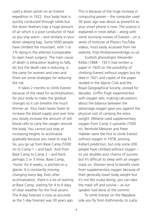used a down jacket on an Everest expedition in 1922. Your body heat is quickly conducted through solids but the down feathers trap a huge amount of air which is a poor conductor of heat so you stay warm – and similarly in your down sleeping bag. Some 5000 people have climbed the mountain, with 1 or 2% dying in the attempt (comparable to open heart surgery). The main cause of death is exhaustion leading to falls, etc but the death rate is reducing, is the same for women and men and there are some strategies for reducing the risk.

 It takes 2 months to climb Everest because of the need for acclimatisation, for your body to make the gradual changes so it can breathe the much thinner air. Your heart beats faster to increase the blood supply and over time you slowly increase the amount of red blood cells to carry the oxygen around the body. You cannot just stop at increasing heights to acclimatise gradually because you need to stay fit. So, you go up from Base Camp (5500 m) to Camp 1 – and back. And from Base Camp to Camp 2 – and back, perhaps 2 or 3 times. Base Camp, 'home' for 6 weeks, is pitched on a glacier. It is constantly moving, changing every day. Even after acclimatisation, there is a lot of waiting at Base Camp, waiting for 4 to 6 days of clear weather for the final ascent. The 4-day forecast is now as accurate as the 1-day forecast was 30 years ago.

This is because of the huge increase in computing power – the computer used 30 years ago was about as powerful as your smart phone is now. The science is explained in more detail – along with some stunning movies of Everest – on a series of Institute of Physics YouTube videos, most easily accessed from her website, http://melaniewindridge.co.uk.

 Scottish physiologist Alexander Kellas (1868 – 1921) had written a paper in 1920 on the possibility of climbing Everest without oxygen but he died in 1921 and copies of the paper resided in the Alpine Club and the Royal Geographical Society, unread for decades. Griffin Pugh experimented with oxygen sets, making calculations about the balance between the advantage oxygen gave you against the physical cost of carrying the extra weight. Melanie used supplementary oxygen from Camp 3 upwards (7500 m). Reinhold Messner and Peter Habeler were the first to climb Everest without oxygen in 1978, proving Kellas's prediction, but only some 200 people have climbed without oxygen – its use doubles your chance of success but It's difficult to sleep with an oxygen mask on. Women tend to benefit more from supplementary oxygen because of their generally lower body weight but it's not like scuba diving, you can take the mask off and survive – as our speaker had done at the summit.

 To climb Everest on the Nepalese side you fly from Kathmandu to Lukla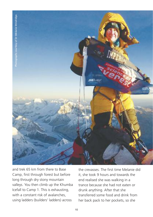

and trek 65 km from there to Base Camp, first through forest but before long through dry stony mountain valleys. You then climb up the Khumba Icefall to Camp 1. This is exhausting, with a constant risk of avalanches. using ladders (builders' ladders) across

the crevasses. The first time Melanie did it, she took 9 hours and towards the end realised she was walking in a trance because she had not eaten or drunk anything. After that she transferred some food and drink from her back pack to her pockets, so she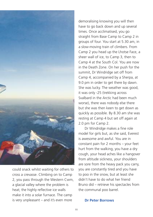

could snack whilst waiting for others to cross a crevasse. Climbing on to Camp 2, you pass through the Western Cwm, a glacial valley where the problem is heat; the highly reflective ice walls make it into a solar furnace. The camp is very unpleasant – and it's even more

demoralising knowing you will then have to go back down and up several times. Once acclimatised, you go straight from Base Camp to Camp 2 in groups of four. You start at 5.30 am, in a slow-moving train of climbers. From Camp 2 you head up the Lhotse Face, a sheer wall of ice, to Camp 3, then to Camp 4 at the South Col. You are now in the Death Zone. On her push for the summit, Dr Windridge set off from Camp 4, accompanied by a Sherpa, at 9.0 pm in order to get there by dawn. She was lucky. The weather was good, it was only -25 (trekking across Svalbard in the Arctic had been much worse), there was nobody else there but she was then keen to get down as quickly as possible. By 8.30 am she was resting at Camp 4 but set off again at 2.0 pm for Camp 2.

 Dr Windridge makes a fine role model for girls but, as she said, Everest is awesome and awful. You are in constant pain for 2 months – your feet hurt from the walking, you have a dry cough, your head aches like a hangover from altitude sickness, your shoulders are sore from the heavy pack you carry, you are constantly tired and you have to poo in the snow, but at least she didn't have to do what her friend Bruno did – retrieve his spectacles from the communal poo barrel.

#### **Dr Peter Borrows**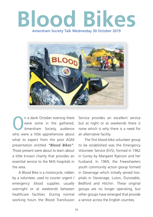# **Blood Bikes** Amersham Society Talk Wednesday 30 October 2019



n a dank October evening there were some in the gathered, Amersham Society, audience who were a little apprehensive about what to expect from the post AGM presentation entitled *"Blood Bikes"*. Those present were about to learn about a little known charity that provides an essential service to the NHS hospitals in the area.

 emergency blood supplies usually A Blood Bike is a motorcycle, ridden by a volunteer, used to courier urgent / overnight or at weekends between healthcare facilities. During normal working hours the Blood Transfusion Service provides an excellent service but at night or at weekends there is none which is why there is a need for an alternative facility.

 The first blood bike volunteer group to be established was the Emergency Volunteer Service (EVS), formed in 1962 in Surrey by Margaret Ryerson and her husband. In 1969, the Freewheelers youth community action group formed in Stevenage which initially served hospitals in Stevenage, Luton, Dunstable, Bedford and Hitchin. These original groups are no longer operating, but other groups have emerged that provide a service across the English counties.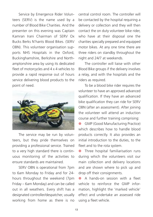Service by Emergence Rider Volunteers (SERV) is the name used by a number of Blood Bike Charities. And the presenter on this evening was Captain Kamran Irani Chairman of SERV Ox Bucks Berks N'hants Blood Bikes. (SERV OBN). This volunteer organisation supports NHS Hospitals in the Oxford, Buckinghamshire, Berkshire and Northamptonshire area by using its dedicated fleet of motorcycles and 4 x 4 vehicles to provide a rapid response out of hours service delivering blood products to the point of need.



 The service may be run by volunteers, but they pride themselves on providing a professional service. Trained to a very high standard there is continuous monitoring of the activities to ensure standards are maintained.

 SERV OBN is operational from 7pm to 6am Monday to Friday and for 24 hours throughout the weekend (7pm Friday – 6am Monday) and can be called out in all weathers. Every shift has a designated controller/despatcher, usually working from home as there is no

central control room. The controller will be contacted by the hospital requiring a delivery or collection and they will then contact the on duty volunteer bike rider, who have at their disposal one the charities specially prepared and equipped motor bikes. At any one time there are three riders on standby throughout the night and 24/7 at weekends.

 The controller will liaise with other Blood Bike groups if the delivery involves a relay, and with the hospitals and the riders as required.

 To be a blood bike rider requires the volunteer to have an approved advanced qualification. If they have an advanced bike qualification they can ride for SERV OBN (after an assessment). After joining the volunteer will attend an induction course and further training comprising:

l GMP (Good Manufacturing Practice) which describes how to handle blood products correctly. It also provides an initial introduction to the duties, to the fleet and to the rota system.

**I** Three hospital familiarisation runs during which the volunteers visit our main collection and delivery locations and are shown where to pick up and drop off their consignments.

**A** hands-on session with a fleet vehicle to reinforce the GMP information, highlight the 'marked vehicle' effect and undertake an assessed ride using a fleet vehicle.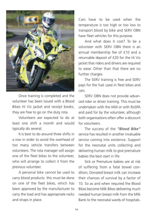

 Once training is completed and the volunteer has been issued with a Blood Bikes Hi Viz jacket and receipt books, they are free to go on the duty rota.

 Volunteers are expected to do at least one shift a month and would typically do several.

 It is best to do around three shifts in a row in order to avoid the overhead of too many vehicle transfers between volunteers. The rota manager will assign one of the fleet bikes to the volunteer, who will arrange to collect it from the previous volunteer.

 A personal bike cannot be used to carry blood products: this must be done on one of the fleet bikes, which has been approved by the manufacturer to carry the load and has appropriate racks and straps in place.

Cars have to be used when the temperature is too high or too low to transport blood by bike and SERV OBN have fleet vehicles for this purpose.

 And what does it cost? To be a volunteer with SERV OBN there is an annual membership fee of £10 and a returnable deposit of £20 for the Hi Viz jacket that riders and drivers are required to wear. Other than that there are no further charges.

 The SERV training is free and SERV pays for the fuel used in fleet bikes and cars.

 SERV OBN does not provide advanced rider or driver training. This must be undertaken with the IAM or with RoSPA and paid for by the volunteer, although both organisations often offer a discount for volunteers.

 The success of the *"Blood Bike"* service has resulted in another invaluable service coming into existence. Support for the neonatal units collecting and delivering human milk to give premature babies the best start in life.

 Sick or Premature babies are at risk of suffering from a fatal bowel condition; Donated breast milk can increase their chances of survival by a factor of 10. So as and when required the Blood Bikes become Milk Bikes delivering much needed human breast milk from the Milk Bank to the neonatal wards of hospitals.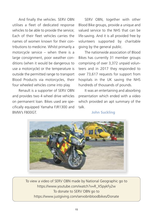And finally the vehicles. SERV OBN utilises a fleet of dedicated response vehicles to be able to provide the service; Each of their fleet vehicles carries the names of women known for their contributions to medicine. Whilst primarily a motorcycle service – when there is a large consignment, poor weather conditions (when it would be dangerous to use a motorcycle) or the temperature is outside the permitted range to transport Blood Products via motorcycles, their four wheeled vehicles come into play.

 Renault is a supporter of SERV OBN and provides two 4 wheel drive vehicles on permanent loan. Bikes used are specifically equipped Yamaha FJR1300 and BMW's F800GT.

 SERV OBN, together with other Blood Bike groups, provide a unique and valued service to the NHS that can be life-saving. And it is all provided free by volunteers supported by charitable giving by the general public.

 The nationwide association of Blood Bikes has currently 31 member groups comprising of over 3,372 unpaid volunteers and in 2017 they responded to over 73,617 requests for support from hospitals in the UK saving the NHS hundreds of thousands of pounds.

 It was an entertaining and absorbing presentation which ended with a video which provided an apt summary of the talk.

#### **John Suckling**



To view a video of SERV OBN made by National Geographic go to https://www.youtube.com/watch?v=R\_X5pykFy2w To donate to SERV OBN go to https://www.justgiving.com/servobnbloodbikes/Donate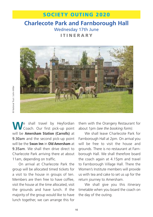### **SOCIETY OUTING 2020**

### **Charlecote Park and Farnborough Hall** Wednesday 17th June **I T I N E R A R Y**



**W**<sup>e</sup> shall travel by Heyfordian Coach. Our first pick-up point will be **Amersham Station (Carrolls)** at 9.30am and the second pick-up point will be the **Swan Inn** in **Old Amersham** at 9.35am. We shall then drive direct to Charlecote Park arriving there at about 11am, depending on traffic.

 On arrival at Charlecote Park the group will be allocated timed tickets for a visit to the house in groups of ten. Members are then free to have coffee, visit the house at the time allocated, visit the grounds and have lunch. If the majority of the group would like to have lunch together, we can arrange this for

them with the Orangery Restaurant for about 1pm *(see the booking form)*.

We shall leave Charlecote Park for Farnborough Hall at 2pm. On arrival you will be free to visit the house and grounds. There is no restaurant at Farnborough Hall. We shall therefore board the coach again at 4.15pm and travel to Farnborough Village Hall. There the Women's Institute members will provide us with tea and cake to set us up for the return journey to Amersham.

 We shall give you this itinerary timetable when you board the coach on the day of the outing.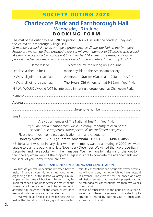### **SOCIETY OUTING 2020**

#### **Charlecote Park and Farnborough Hall** Wednesday 17th June **B O O K I N G F O R M**

The cost of the outing will be **£20** per person. This will include the coach journey and the WI tea at Farnborough Village Hall.

*(If members would like us to arrange a group lunch at Charlecote Park in the Orangery Restaurant we can do that, provided there is a minimum number of 25 people who would like this. The cost of a two course hot lunch will be £14 a head. The restaurant would provide in advance a menu with choices of food if there is interest in a group lunch.\**

Please reserve ......................... places for me the outing on 17th June.

I enclose a cheque for £ ......................... made payable to the Amersham Society.

I/ We shall join the coach at: Amersham Station (Carrols) at 9.30am Yes / No

I/ We shall join the coach at: The Swan, Old Amersham at 9.35am Yes / No

\*I / We WOULD / would NOT be interested in having a group lunch at Charlecote Park.

Are you a member of The National Trust? Yes / No *(If you are not a member there will be a charge for entry to each of the National Trust properties. These prices will be confirmed next year).*

Please return your completed application form and cheque to:

Dorothy Symes 160b High Street, Amersham, HP7 0EG 01494 434858

NB: Because it was not initially clear whether members wanted an outing in 2020, we were unable to plan the outing until last November / December. We visited the two properties in December and have spoken with the managers. We may have to make minor changes to the itinerary when we visit the properties again in April to complete the arrangements and we shall let you know if there are any.

#### **IMPORTANT NOTES ON BOOKING AND CANCELLATION**

Day Trips As you will understand we often have to make financial commitments upfront when organising a trip. For this reason we always ask you to pay at the time of booking. Refunds may be given for cancellation up to 5 weeks before the trip unless part of the payment has to be committed in advance e.g. payment for the coach or entrance fees and only the balance will be refunded.

 We will be as flexible as possible because we realise that for all sorts of very good reasons last

&

minute cancellations can occur. Wherever possible we will refund any monies which we have not paid in advance. The element for the coach and any admission fees etc that have to be pre-paid cannot be refunded for cancellations less than five weeks from the trip.

In case of cancellation in the period of less than 5 weeks, and there is a reserve list, we shall try to arrange a refund by putting you in touch with someone on the list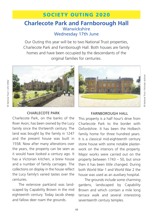### **SOCIETY OUTING 2020**

#### **Charlecote Park and Farnborough Hall Warwickshire** Wednesday 17th June

Our Outing this year will be to two National Trust properties, Charlecote Park and Farnborough Hall. Both houses are family homes and have been occupied by the descendants of the original families for centuries.



#### CHARLECOTE PARK

Charlecote Park, on the banks of the River Avon, has been owned by the Lucy family since the thirteenth century. The land was bought by the family in 1247 and the present house was built in 1558. Now after many alterations over the years, the property can be seen as it would have looked a century ago. It has a Victorian kitchen, a brew house and a number of family carriages. The collections on display in the house reflect the Lucy family's varied tastes over the centuries.

 The extensive parkland was landscaped by Capability Brown in the mid eighteenth century. Today Jacob sheep and fallow deer roam the grounds.



*National Trust / Nicholas Jackson*

#### FARNBOROUGH HALL

This property is a half hour's drive from Charlecote Park to the border with Oxfordshire. It has been the Holbech family home for three hundred years. It is a classical mid-eighteenth century stone house with some notable plasterwork on the interiors of the property. Major works were carried out on the property between 1743 – 50, but since then it has been little changed. During both World War 1 and World War 2 the house was used as an auxiliary hospital.

 The grounds include some charming gardens, landscaped by Capability Brown and which contain a mile long terrace walk and several interesting seventeenth century temples.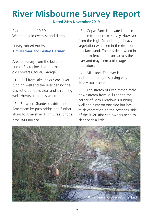# **River Misbourne Survey Report**

**Dated 24th November 2019**

Started around 10.30 am. Weather: cold overcast and damp.

#### Survey carried out by **Tim Harmer** and **Lesley Harmer**

Area of survey from the bottom end of Shardeloes Lake to the old Lookers (Jaguar) Garage.

1 Grill from lake looks clear. River running well and the river behind the Cricket Club looks clear and is running well. However there is weed.

2 Between Shardeloes drive and Amersham by-pass bridge and further along to Amersham High Street bridge. River running well.

03 Copas Farm is private land, so unable to undertake survey. However from the High Street bridge, heavy vegetation was seen in the river on this farm land. There is dead weed in the farm fence that runs across the river and may form a blockage in the future.

4 Mill Lane. The river is locked behind gates giving very little visual access.

5 The stretch of river immediately downstream from Mill Lane to the corner of Barn Meadow is running well and clear on one side but has thick vegetation on the cottages' side of the River. Riparian owners need to clear back a little.

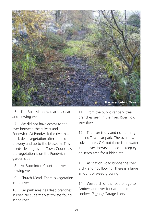

06 The Barn Meadow reach is clear and flowing well.

7 We did not have access to the river between the culvert and Pondwick. At Pondwick the river has thick dead vegetation after the old brewery and up to the Museum. This needs clearing by the Town Council as the vegetation is on the Pondwick garden side.

8 At Badminton Court the river flowing well.

09 Church Mead. There is vegetation in the river.

10 Car park area has dead branches in river. No supermarket trolleys found in the river.

11 From the public car park tree branches seen in the river. River flow very slow.

12 The river is dry and not running behind Tesco car park. The overflow culvert looks OK, but there is no water in the river. However need to keep eye on Tesco area for rubbish etc.

13 At Station Road bridge the river is dry and not flowing. There is a large amount of weed growing.

14 West arch of the road bridge to Ambers and river fork at the old Lookers *(Jaguar)* Garage is dry.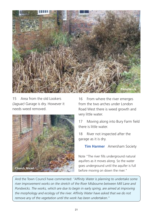

15 Area from the old Lookers *(Jaguar)* Garage is dry. However it needs weed removed.



16 From where the river emerges from the two arches under London Road West there is weed growth and very little water.

17 Moving along into Bury Farm field there is little water.

18 River not inspected after the garage as it is dry.

**Tim Harmer** Amersham Society

Note "The river fills underground natural aquifers as it moves along. So the water goes underground until the aquifer is full before moving on down the river."

And the Town Council have commented: *"Affinity Water is planning to undertake some river improvement works on the stretch of the River Misbourne between Mill Lane and Pondwicks. The works, which are due to begin in early spring, are aimed at improving the morphology and ecology of the river. Affinity Water have asked that we do not remove any of the vegetation until the work has been undertaken."*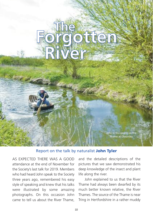# **The Forgotten River**

John in his coracle on the Thame at Chearsley

#### Report on the talk by naturalist **John Tyler**

AS EXPECTED THERE WAS A GOOD attendance at the end of November for the Society's last talk for 2019. Members who had heard John speak to the Society three years ago, remembered his easy style of speaking and knew that his talks were illustrated by some amazing photographs. On this occasion John came to tell us about the River Thame, and the detailed descriptions of the pictures that we saw demonstrated his deep knowledge of the insect and plant life along the river.

 John explained to us that the River Thame had always been dwarfed by its much better known relative, the River Thames. The source of the Thame is near Tring in Hertfordshire in a rather muddy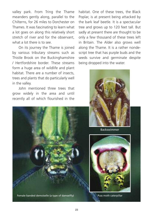valley park. From Tring the Thame meanders gently along, parallel to the Chilterns, for 26 miles to Dorchester on Thames. It was fascinating to learn what a lot goes on along this relatively short stretch of river and for the observant, what a lot there is to see.

 On its journey the Thame is joined by various tributary streams such as Thistle Brook on the Buckinghamshire / Hertfordshire border. These streams form a huge area of wildlife and plant habitat. There are a number of insects. trees and plants that do particularly well in the valley.

 John mentioned three trees that grow widely in the area and until recently all of which flourished in the

habitat. One of these trees, the Black Poplar, is at present being attacked by the bark leaf beetle. It is a spectacular tree and grows up to 120 feet tall. But sadly at present there are thought to be only a few thousand of these trees left in Britain. The Alder also grows well along the Thame. It is a rather nondescript tree that has purple buds and the seeds survive and germinate despite being dropped into the water.



Backswimmer



Female banded demoiselle (a type of damselfly) Puss moth caterpillar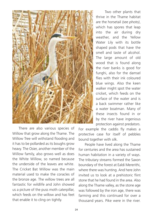

Two other plants that thrive in the Thame habitat are the horsetail *(see photo)*, which has spores that leap into the air during dry weather, and the Yellow Water Lily with its bottle shaped pods that have the smell and taste of alcohol. The large amount of old wood that is found along the river banks is good for funghi, also for the damsel flies with their ink coloured blue wings. Also the keen walker might spot the water cricket, which feeds on the surface of the water and is a back swimmer rather like a water boatman. Many of these insects found in or by the river have ingenious protection against predators.

 There are also various species of Willow that grow along the Thame. The Willow Tree will withstand flooding and it has to be pollarded as its boughs grow heavy. The Osier, another member of the Willow family, also grows well as does the White Willow, so named because the underside of the leaves are white. The Cricket Bat Willow was the main material used to make the coracles of the bronze age. The willow trees are all fantastic for wildlife and John showed us a picture of the puss moth caterpillar, which feeds on the willow and has feet that enable it to cling on tightly.

For example the caddis fly makes a protective case for itself of pebbles bound together with silk.

 People have lived along the Thame for centuries and the area has sustained human habitation in a variety of ways. The tributary streams formed the Saxon boundary of the forest at Ealdi Mererithi, where there was hunting. And here John invited us to look at a prehistoric flint stone that he had found in the area. Also along the Thame valley, as the stone age was followed by the iron age, there was farming and this continued for over a thousand years. Pike were in the river.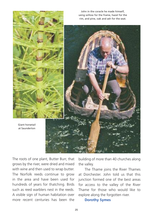

The roots of one plant, Butter Burr, that grows by the river, were dried and mixed with wine and then used to wrap butter. The Norfolk reeds continue to grow in the area and have been used for hundreds of years for thatching. Birds such as reed warblers nest in the reeds. A visible sign of human habitation over more recent centuries has been the

building of more than 40 churches along the valley.

 The Thame joins the River Thames at Dorchester. John told us that this junction formed one of the best areas for access to the valley of the River Thame for those who would like to explore along the forgotten river.

#### **Dorothy Symes**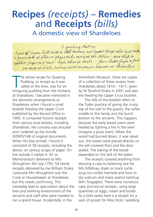## **Recipes** *(receipts)* – **Remedies** and **Receipts** *(bills)*

A domestic view of Shardeloes

a questing stating of cases of a line and control of the cost of 2. sport fulls of flower, gaggs take out 4 of the White; mix thep to gether Juger to grant longer then in sich : fence butho fuger & fact on may stick the cavings with smetures almosts or Pertrehors

The above recipe for Quaking<br>
Pudding, or receipt as it was<br>
called at the time, was for an<br>
intriguing pudding from the kitchens he above recipe for Quaking Pudding, or receipt as it was called at the time, was for an at Shardeloes. I became interested in the domestic arrangements at Shardeloes when I found a small booklet Feeding the Upper Crust published by the Record Office in 1995. It contained historic receipts from various local estates, including Shardeloes. My curiosity was aroused and I ordered up the bundle D/DR/5/148 of original documents. When the box arrived, I found it consisted of 58 receipts, including the above, on various scraps of paper. On the outside it stated A. M. or Memorandum delivered to Mrs Wroughton 4th July 1793, 54 family receipts delivered by me William Drake. I presume Mrs Wroughton was the Cook or Housekeeper at Shardeloes but this needs confirming. This inevitably lead to speculation about the lives and working environment of the servants and staff who were needed to run a grand house. Incidentally, in the

Amersham Museum, there are copies of a collection of these recipes from Shardeloes dated 1616 – 1617, given by W Tyrwhitt-Drake in 2001 and also the Feeding the Upper Crust booklet.

 The title of the booklet refers to the Tudor practice of giving the crusty top of the loaf to the guests, the softer middle to the family and the burnt bottom to the servants. This happens because the early bread ovens were heated by lighting a fire in the oven (imagine a pizza oven). When the wood had burned down, it was raked out, the loaves were placed directly on the ash-covered floor and the door sealed. The baking of the bread depended on the skill of the baker.

 The receipts covered anything from dressing a carp to fattening one for Mrs Mildmay, sham or mock turtle soup (no turtles harmed) and how to dry walnuts and make walnut ketchup (Mrs Trogagles). There were numerous cake and biscuit receipts, using large quantities of eggs, cream and butter. As a little taster here is a receipt for a sack of posset for Miss Hicks' wedding.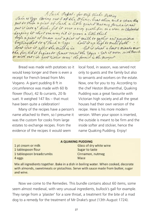A Sach Popel. for mip stick . Hereing<br>Jahr 16 Eggs Cariny out & of the White; beat them and a stranshing pat to them agreed of Sach a little grates nature furtherinand put it into y' dish, fit it over a very grath fire on a close or Chapaluch Luping it show our way hid it grows a little thick boyle a great of coram and against of milk to gather and parmition bryling hot try fack + 9995 hold it up high to make froth. don't star it after the milk is in let it stand a brat a minutes me the firstil it begins to how most the Edges . Est it worn with hours or with out it's good gitting way the former is the groupet

 Bread was made with potatoes so it would keep longer and there is even a receipt for French bread from Mrs Vogano. A giant pudding 8 ft in circumference was made with 60 lb flower (flour), 42 lb currants, 20 lb suet. It weighed 147 lbs – that must have been quite a celebration!

 Many of the recipes have a person's name attached to them, so I presume it was the custom for cooks from large estates to exchange recipes. From the evidence of the recipes it would seem

local food, in season, was served not only to guests and the family but also to servants and workers on the estate. Now, one for you to try. According to the chef Heston Blumenthal, Quaking Pudding was a great favourite with Victorian high society and all the great houses had their own version of the recipe. Here is his more modern version. When your spoon is inserted, the outside is meant to be firm and the inside softer and stickier, hence the name Quaking Pudding. Enjoy!

#### A QUAKING PUDDING

1 pt cream or milk 1 tablespoon flour 1 tablespoon breadcrumbs 4 eggs

Glass of dry white wine Sugar to taste Cinnamon, nutmeg Mace

Mix all ingredients together. Bake in a dish in boiling water. When cooked, decorate with almonds, sweetmeats or pistachios. Serve with sauce made from butter, sugar and wine.

 Now we come to the Remedies. This bundle contains about 60 items, some seem almost medieval, with very unusual ingredients, bullock's gall for example. They range from a 'plaister' for a sore throat, a treatment for the bite of a mad dog to a remedy for the treatment of Mr Drake's gout (13th August 1724).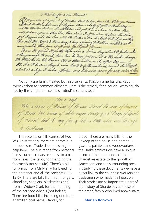A Plaister for a sec Elevent Al a quarter of a pound of Mutton hast to ken home the Rouge-3 lines A South Buther Lamus of Copin - thene who to of getting Back they ent the station dark in Small there and jut it in a clean to sthem fan, mell it does a gren a store Fire, then strain it off to clear it from the Stine put it again with the Pan with the Butter & Mir it about Sill it is melled The and the Royin & Barnery, & hop stirring 'site all is method & well incorporated, then pour it off into balligist former To use it, speed it putty then spon a Linnen Ray about 3 palos with O long enough to mach, how Par to Par, put over it a Hannel : change the Plaister in 24 Hours two is there will use it, often One -13. it will to some hopele raise heats & inflamations round the Shoot which is a dign it takes offert it is likenise good for any outsaid love

 Not only are family treated but also servants. Possibly a herbal was kept in every kitchen for common ailments. Here is the remedy for a cough. Warning: do not try this at home – 'spirits of vitriol' is sulfuric acid.

For a Coast Take a cancer of Raison of the sum Stoned the same of bosseros of Roses two owners of white sayer Couty 3 16 Drops of Spirits of vitriot, beat it very fine & lake a little when ever the Cough is freelisome

 The receipts or bills consist of two lots. Frustratingly, there are names but no addresses. Trade directories might help here. The bills range from personal items, such as collars or shoes, to a bill from Eeles, the tailor, for mending the footmen's trousers (4d). There's a bill for physic from Mr Manly for bleeding the gardener and all the servants (£22- 13-6). There are bills from ironmongers, chandlers, saddlers, blacksmiths and from a Widow Clark for the mending of the carriage wheels (pot holes?). There are food bills, including one from a familiar local name, Darvell, for

bread. There are many bills for the upkeep of the house and garden – glaziers, painters and woodworkers. In the Drake archives we have a unique record of the importance of the Shardeloes estate to the growth of Amersham and the surrounding area. In studying these documents we have a direct link to the countless workers and tradesmen who made it all possible. Their stories are as important a part of the history of Shardeloes as those of the grand family who lived above stairs.

#### **Marian Borrows**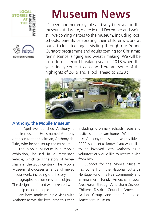



# **Museum News**

It's been another enjoyable and very busy year in the museum. As I write, we're in mid-December and we're still welcoming visitors to the museum, including local schools, parents celebrating their children's work at our art club, teenagers visiting through our Young Curators programme and adults coming for Christmas reminiscence, singing and wreath making. We will be close to our record-breaking year of 2018 when the year finally comes to an end. Here are some of the highlights of 2019 and a look ahead to 2020 :



#### **Anthony, the Mobile Museum**

 In April we launched Anthony, a mobile museum. He is named Anthony after our former chairman, Anthony del Tufo, who helped set up the museum.

 The Mobile Museum is a mobile exhibition, housed in a retro-style vehicle, which tells the story of Amersham in the 20th century. The Mobile Museum showcases a range of mixed media work, including oral history, film, photographs, documents and objects. The design and fit-out were created with the help of local people.

 We have made multiple visits with Anthony across the local area this year,

including to primary schools, fetes and festivals and to care homes. We hope to take Anthony out as much as possible in 2020, so do let us know if you would like to be involved with Anthony as a volunteer or would like to receive a visit from him.

 Support for the Mobile Museum has come from the National Lottery's Heritage Fund, the HS2 Community and Environment Fund, Amersham Local Area Forum through Amersham Decides, Chiltern District Council, Amersham Action Group and the Friends of Amersham Museum.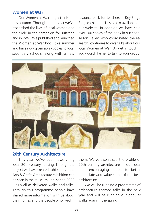#### **Women at War**

 Our Women at War project finished this autumn. Through the project we've researched the lives of local women and their role in the campaign for suffrage and in WWI. We published and launched the Women at War book this summer and have now given away copies to local secondary schools, along with a new

resource pack for teachers at Key Stage 3 aged children. This is also available on our website. In addition we have sold over 100 copies of the book in our shop. Alison Bailey, who coordinated the research, continues to give talks about our local Women at War. Do get in touch if you would like her to talk to your group.



#### **20th Century Architecture**

 This year we've been researching local, 20th century housing. Through the project we have created exhibitions – the Arts & Crafts Architecture exhibition can be seen in the museum until spring 2020 – as well as delivered walks and talks. Through this programme people have shared more information with us about their homes and the people who lived in

them. We've also raised the profile of 20th century architecture in our local area, encouraging people to better appreciate and value some of our best architecture.

 We will be running a programme of architecture themed talks in the new year and will be running our popular walks again in the spring.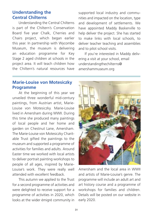#### **Understanding the Central Chilterns**

 Understanding the Central Chilterns is part of the Chiltern's Conservation Board five year Chalk, Cherries and Chairs project, which began earlier this year. In partnership with Wycombe Museum, the museum is delivering an education programme for Key Stage 2 aged children at schools in the project area. It will teach children how the Chiltern's natural resources have supported local industry and communities and impacted on the location, type and development of settlements. We have appointed Maddy Baskerville to help deliver the project. She has started to make links with local schools, to deliver teacher teaching and assemblies and to pilot school visits.

 If you're interested in Maddy delivering a visit at your school, email understandingthechilterns@ amershammuseum.org

#### **Marie-Louise von Motesiczky Programme**

 At the beginning of this year we unveiled three wonderful mid-century paintings, from Austrian artist, Marie-Louise von Motesiczky. Marie-Louise lived in Amersham during WWII. During this time she produced many paintings of local people and her home and garden on Chestnut Lane, Amersham. The Marie-Louise von Motesiczky Charitable Trust gifted the paintings to the museum and supported a programme of activities for families and adults. Around Easter time we worked with local artists to deliver portrait painting workshops to people of all ages, inspired by Marie-Louise's work. They were really well attended with excellent feedback.

 This autumn we applied to the Trust for a second programme of activities and were delighted to receive support for a programme of activities in 2020, which looks at the wider émigré community in



Amersham and the local area in WWII and artists of Marie-Louise's genre. The programme will include an adult art and art history course and a programme of workshops for families and children. Details will be posted on our website in early 2020.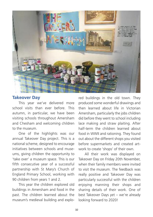

#### **Takeover Day**

 This year we've delivered more school visits than ever before. This autumn, in particular, we have been visiting schools throughout Amersham and Chesham and welcoming children to the museum.

 One of the highlights was our annual Takeover Day project. This is a national scheme, designed to encourage initiatives between schools and museums, giving children the opportunity to 'take over' a museum space. This is our fifth consecutive year of a successful partnership with St Mary's Church of England Primary School, working with 90 children from years 1 and 2.

 This year the children explored old buildings in Amersham and food in the past. The children learned about the museum's medieval building and explored buildings in the old town. They produced some wonderful drawings and then learned about life in Victorian Amersham, particularly the jobs children did before they went to school including lace making and straw plaiting. After half-term the children learned about food in WWII and rationing. They found out about the different shops you visited before supermarkets and created artwork to create 'shops' of their own.

 All their work was displayed on Takeover Day on Friday 20th November, when their family members were invited to visit the museum. The feedback was really positive and Takeover Day was particularly successful with the children enjoying manning their shops and sharing details of their work. One of best Takeover Days yet – we're already looking forward to 2020!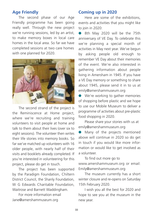#### **Age Friendly**

 The second phase of our Age Friendly programme has been going really well. Through the new project we're running sessions, led by an artist, to make memory boxes in local care homes in the local area. So far we have completed sessions at two care homes with one planned for 2020.



 The second strand of the project is the Reminiscence at Home project, where we're recruiting and training volunteers to visit people at home and talk to them about their lives (over six to eight sessions). The volunteer then writes their life stories into memory books. So far we've matched up volunteers with 16 older people, with nearly half of their visits and booklets already completed. If you're interested in volunteering for this project, please do get in touch.

 The project has been supported by the Paradigm Foundation, Chiltern District Council, the Shanly Foundation, W G Edwards Charitable Foundation. Waitrose and Barnett Waddingham.

 For more information email Jane@amershammuseum.org

#### **Coming up in 2020**

 Here are some of the exhibitions, events and activities that you might like to join in 2020:

● 8th May 2020 will be the 75th anniversary of VE Day. To celebrate this we're planning a special month of activities in May next year. We've begun by asking people old enough to remember VE Day about their memories of the event. We're also interested in gathering information about people living in Amersham in 1945. If you have a VE Day memory or something to share about 1945, please send it in to us at emily@amershammuseum.org

**ID** We're working to gather memories of shopping before plastic and we hope to use our Mobile Museum to deliver a programme of activities about pre-plastic food shopping in 2020.

 Please share your stories with us at emily@amershammuseum.org

• Many of the projects mentioned above will continue in 2020 so do get in touch if you would like more information or would like to get involved as a volunteer.

 To find out more go to www.amershammuseum.org or email: Emily@amershammuseum.org

 The museum currently has a short winter closure and re-opens on Saturday 15th February 2020.

 I wish you all the best for 2020 and hope to see you at the museum in the new year.